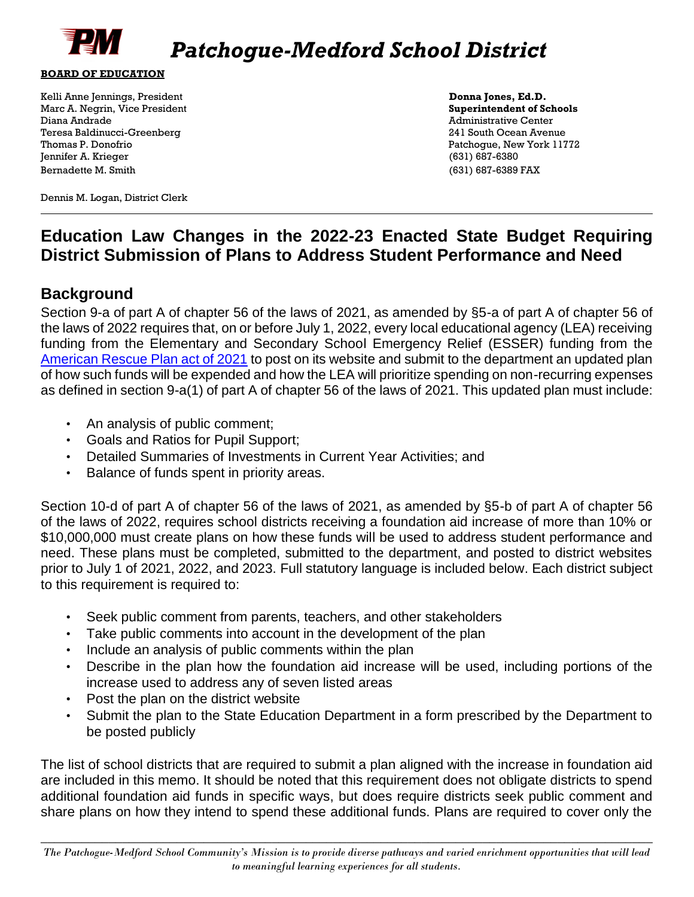

#### **BOARD OF EDUCATION**

Kelli Anne Jennings, President **Donna Jones, Ed.D.**  Marc A. Negrin, Vice President **Superintendent of Schools Superintendent of Schools** Diana Andrade Administrative Center Teresa Baldinucci-Greenberg 241 South Ocean Avenue Thomas P. Donofrio Patchogue, New York 11772 Jennifer A. Krieger (631) 687-6380 Bernadette M. Smith (631) 687-6389 FAX

Dennis M. Logan, District Clerk

## **Education Law Changes in the 2022-23 Enacted State Budget Requiring District Submission of Plans to Address Student Performance and Need**

### **Background**

Section 9-a of part A of chapter 56 of the laws of 2021, as amended by §5-a of part A of chapter 56 of the laws of 2022 requires that, on or before July 1, 2022, every local educational agency (LEA) receiving funding from the Elementary and Secondary School Emergency Relief (ESSER) funding from the [American Rescue](http://www.nysed.gov/common/nysed/files/programs/federal-education-covid-response-funding/arp-esser-allocations-chart.xlsx) [Plan act of 2021](http://www.nysed.gov/common/nysed/files/programs/federal-education-covid-response-funding/arp-esser-allocations-chart.xlsx) [to](http://www.nysed.gov/common/nysed/files/programs/federal-education-covid-response-funding/arp-esser-allocations-chart.xlsx) post on its website and submit to the department an updated plan of how such funds will be expended and how the LEA will prioritize spending on non-recurring expenses as defined in section 9-a(1) of part A of chapter 56 of the laws of 2021. This updated plan must include:

- An analysis of public comment;
- Goals and Ratios for Pupil Support;
- Detailed Summaries of Investments in Current Year Activities; and
- Balance of funds spent in priority areas.

Section 10-d of part A of chapter 56 of the laws of 2021, as amended by §5-b of part A of chapter 56 of the laws of 2022, requires school districts receiving a foundation aid increase of more than 10% or \$10,000,000 must create plans on how these funds will be used to address student performance and need. These plans must be completed, submitted to the department, and posted to district websites prior to July 1 of 2021, 2022, and 2023. Full statutory language is included below. Each district subject to this requirement is required to:

- Seek public comment from parents, teachers, and other stakeholders
- Take public comments into account in the development of the plan
- Include an analysis of public comments within the plan
- Describe in the plan how the foundation aid increase will be used, including portions of the increase used to address any of seven listed areas
- Post the plan on the district website
- Submit the plan to the State Education Department in a form prescribed by the Department to be posted publicly

The list of school districts that are required to submit a plan aligned with the increase in foundation aid are included in this memo. It should be noted that this requirement does not obligate districts to spend additional foundation aid funds in specific ways, but does require districts seek public comment and share plans on how they intend to spend these additional funds. Plans are required to cover only the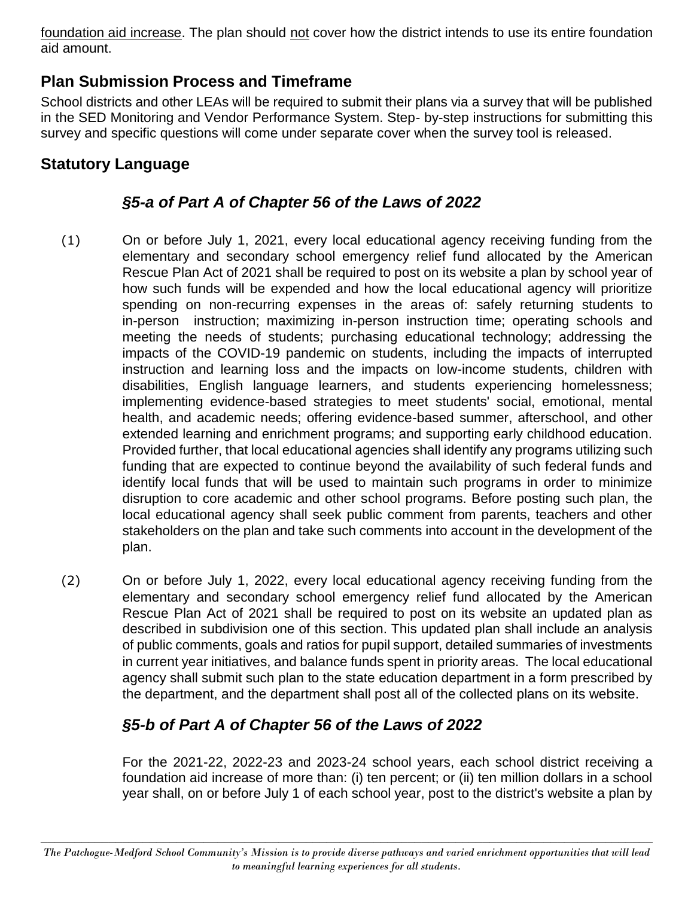foundation aid increase. The plan should not cover how the district intends to use its entire foundation aid amount.

## **Plan Submission Process and Timeframe**

School districts and other LEAs will be required to submit their plans via a survey that will be published in the SED Monitoring and Vendor Performance System. Step- by-step instructions for submitting this survey and specific questions will come under separate cover when the survey tool is released.

## **Statutory Language**

## *§5-a of Part A of Chapter 56 of the Laws of 2022*

- (1) On or before July 1, 2021, every local educational agency receiving funding from the elementary and secondary school emergency relief fund allocated by the American Rescue Plan Act of 2021 shall be required to post on its website a plan by school year of how such funds will be expended and how the local educational agency will prioritize spending on non-recurring expenses in the areas of: safely returning students to in-person instruction; maximizing in-person instruction time; operating schools and meeting the needs of students; purchasing educational technology; addressing the impacts of the COVID-19 pandemic on students, including the impacts of interrupted instruction and learning loss and the impacts on low-income students, children with disabilities, English language learners, and students experiencing homelessness; implementing evidence-based strategies to meet students' social, emotional, mental health, and academic needs; offering evidence-based summer, afterschool, and other extended learning and enrichment programs; and supporting early childhood education. Provided further, that local educational agencies shall identify any programs utilizing such funding that are expected to continue beyond the availability of such federal funds and identify local funds that will be used to maintain such programs in order to minimize disruption to core academic and other school programs. Before posting such plan, the local educational agency shall seek public comment from parents, teachers and other stakeholders on the plan and take such comments into account in the development of the plan.
- (2) On or before July 1, 2022, every local educational agency receiving funding from the elementary and secondary school emergency relief fund allocated by the American Rescue Plan Act of 2021 shall be required to post on its website an updated plan as described in subdivision one of this section. This updated plan shall include an analysis of public comments, goals and ratios for pupil support, detailed summaries of investments in current year initiatives, and balance funds spent in priority areas. The local educational agency shall submit such plan to the state education department in a form prescribed by the department, and the department shall post all of the collected plans on its website.

# *§5-b of Part A of Chapter 56 of the Laws of 2022*

For the 2021-22, 2022-23 and 2023-24 school years, each school district receiving a foundation aid increase of more than: (i) ten percent; or (ii) ten million dollars in a school year shall, on or before July 1 of each school year, post to the district's website a plan by

 $\_$  , and the contribution of the contribution of  $\mathcal{L}$  , and  $\mathcal{L}$  , and  $\mathcal{L}$  , and  $\mathcal{L}$  , and  $\mathcal{L}$ *The Patchogue-Medford School Community's Mission is to provide diverse pathways and varied enrichment opportunities that will lead to meaningful learning experiences for all students.*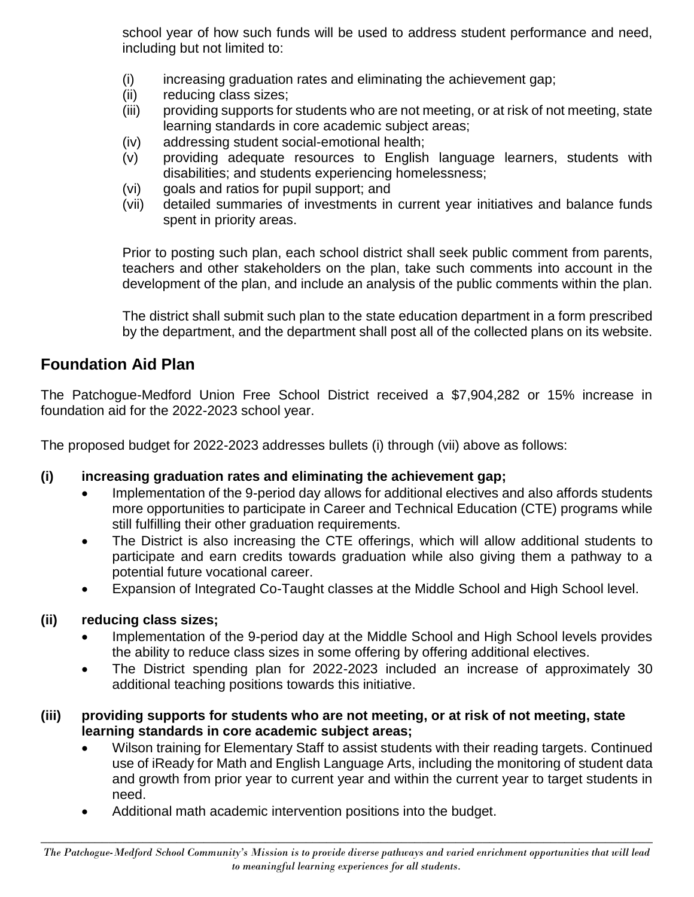school year of how such funds will be used to address student performance and need, including but not limited to:

- (i) increasing graduation rates and eliminating the achievement gap;
- (ii) reducing class sizes;
- (iii) providing supports for students who are not meeting, or at risk of not meeting, state learning standards in core academic subject areas;
- (iv) addressing student social-emotional health;
- (v) providing adequate resources to English language learners, students with disabilities; and students experiencing homelessness;
- (vi) goals and ratios for pupil support; and
- (vii) detailed summaries of investments in current year initiatives and balance funds spent in priority areas.

Prior to posting such plan, each school district shall seek public comment from parents, teachers and other stakeholders on the plan, take such comments into account in the development of the plan, and include an analysis of the public comments within the plan.

The district shall submit such plan to the state education department in a form prescribed by the department, and the department shall post all of the collected plans on its website.

## **Foundation Aid Plan**

The Patchogue-Medford Union Free School District received a \$7,904,282 or 15% increase in foundation aid for the 2022-2023 school year.

The proposed budget for 2022-2023 addresses bullets (i) through (vii) above as follows:

## **(i) increasing graduation rates and eliminating the achievement gap;**

- Implementation of the 9-period day allows for additional electives and also affords students more opportunities to participate in Career and Technical Education (CTE) programs while still fulfilling their other graduation requirements.
- The District is also increasing the CTE offerings, which will allow additional students to participate and earn credits towards graduation while also giving them a pathway to a potential future vocational career.
- Expansion of Integrated Co-Taught classes at the Middle School and High School level.

## **(ii) reducing class sizes;**

- Implementation of the 9-period day at the Middle School and High School levels provides the ability to reduce class sizes in some offering by offering additional electives.
- The District spending plan for 2022-2023 included an increase of approximately 30 additional teaching positions towards this initiative.

### **(iii) providing supports for students who are not meeting, or at risk of not meeting, state learning standards in core academic subject areas;**

- Wilson training for Elementary Staff to assist students with their reading targets. Continued use of iReady for Math and English Language Arts, including the monitoring of student data and growth from prior year to current year and within the current year to target students in need.
- Additional math academic intervention positions into the budget.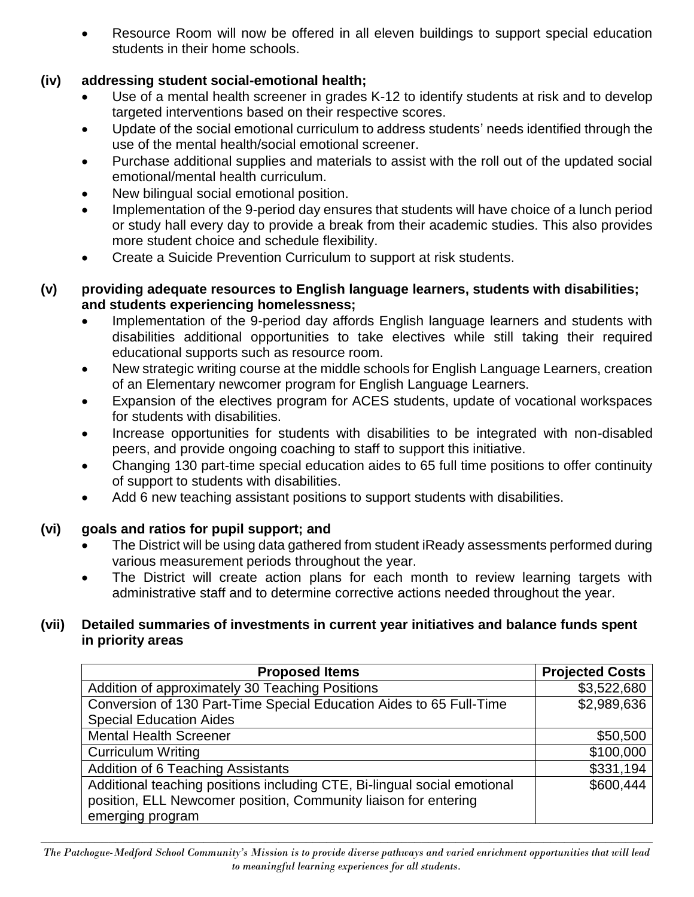Resource Room will now be offered in all eleven buildings to support special education students in their home schools.

### **(iv) addressing student social-emotional health;**

- Use of a mental health screener in grades K-12 to identify students at risk and to develop targeted interventions based on their respective scores.
- Update of the social emotional curriculum to address students' needs identified through the use of the mental health/social emotional screener.
- Purchase additional supplies and materials to assist with the roll out of the updated social emotional/mental health curriculum.
- New bilingual social emotional position.
- Implementation of the 9-period day ensures that students will have choice of a lunch period or study hall every day to provide a break from their academic studies. This also provides more student choice and schedule flexibility.
- Create a Suicide Prevention Curriculum to support at risk students.

#### **(v) providing adequate resources to English language learners, students with disabilities; and students experiencing homelessness;**

- Implementation of the 9-period day affords English language learners and students with disabilities additional opportunities to take electives while still taking their required educational supports such as resource room.
- New strategic writing course at the middle schools for English Language Learners, creation of an Elementary newcomer program for English Language Learners.
- Expansion of the electives program for ACES students, update of vocational workspaces for students with disabilities.
- Increase opportunities for students with disabilities to be integrated with non-disabled peers, and provide ongoing coaching to staff to support this initiative.
- Changing 130 part-time special education aides to 65 full time positions to offer continuity of support to students with disabilities.
- Add 6 new teaching assistant positions to support students with disabilities.

### **(vi) goals and ratios for pupil support; and**

- The District will be using data gathered from student iReady assessments performed during various measurement periods throughout the year.
- The District will create action plans for each month to review learning targets with administrative staff and to determine corrective actions needed throughout the year.

#### **(vii) Detailed summaries of investments in current year initiatives and balance funds spent in priority areas**

| <b>Proposed Items</b>                                                                                                                                           | <b>Projected Costs</b> |
|-----------------------------------------------------------------------------------------------------------------------------------------------------------------|------------------------|
| Addition of approximately 30 Teaching Positions                                                                                                                 | \$3,522,680            |
| Conversion of 130 Part-Time Special Education Aides to 65 Full-Time                                                                                             | \$2,989,636            |
| <b>Special Education Aides</b>                                                                                                                                  |                        |
| <b>Mental Health Screener</b>                                                                                                                                   | \$50,500               |
| <b>Curriculum Writing</b>                                                                                                                                       | \$100,000              |
| <b>Addition of 6 Teaching Assistants</b>                                                                                                                        | \$331,194              |
| Additional teaching positions including CTE, Bi-lingual social emotional<br>position, ELL Newcomer position, Community liaison for entering<br>emerging program | \$600,444              |

 $\_$  , and the contribution of the contribution of  $\mathcal{L}$  , and  $\mathcal{L}$  , and  $\mathcal{L}$  , and  $\mathcal{L}$  , and  $\mathcal{L}$ *The Patchogue-Medford School Community's Mission is to provide diverse pathways and varied enrichment opportunities that will lead to meaningful learning experiences for all students.*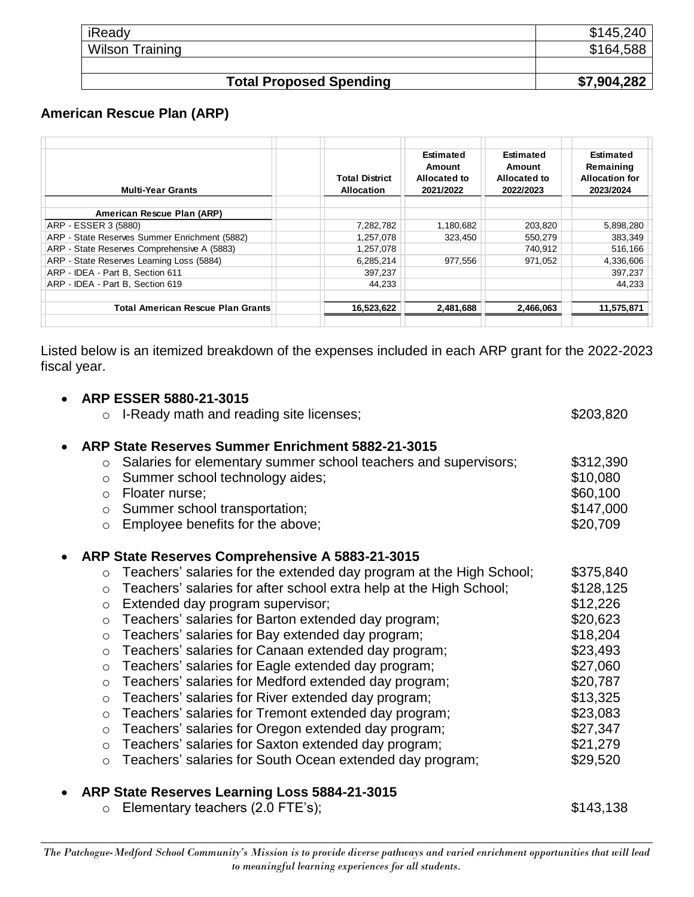| iReady<br><b>Wilson Training</b> | \$145,240<br>\$164,588 |
|----------------------------------|------------------------|
|                                  |                        |
| <b>Total Proposed Spending</b>   | \$7,904,282            |

### **American Rescue Plan (ARP)**

| <b>Multi-Year Grants</b>                      | <b>Total District</b><br><b>Allocation</b> | <b>Estimated</b><br>Amount<br>Allocated to<br>2021/2022 | <b>Estimated</b><br>Amount<br>Allocated to<br>2022/2023 | Estimated<br>Remaining<br><b>Allocation for</b><br>2023/2024 |
|-----------------------------------------------|--------------------------------------------|---------------------------------------------------------|---------------------------------------------------------|--------------------------------------------------------------|
| American Rescue Plan (ARP)                    |                                            |                                                         |                                                         |                                                              |
| ARP - ESSER 3 (5880)                          | 7,282,782                                  | 1,180,682                                               | 203,820                                                 | 5,898,280                                                    |
| ARP - State Reserves Summer Enrichment (5882) | 1,257,078                                  | 323,450                                                 | 550,279                                                 | 383,349                                                      |
| ARP - State Reserves Comprehensive A (5883)   | 1,257,078                                  |                                                         | 740.912                                                 | 516,166                                                      |
| ARP - State Reserves Learning Loss (5884)     | 6,285,214                                  | 977.556                                                 | 971.052                                                 | 4,336,606                                                    |
| ARP - IDEA - Part B, Section 611              | 397.237                                    |                                                         |                                                         | 397,237                                                      |
| ARP - IDEA - Part B. Section 619              | 44.233                                     |                                                         |                                                         | 44.233                                                       |
| Total American Rescue Plan Grants             | 16,523,622                                 | 2,481,688                                               | 2,466,063                                               | 11,575,871                                                   |

Listed below is an itemized breakdown of the expenses included in each ARP grant for the 2022-2023 fiscal year.

| ARP ESSER 5880-21-3015                                                                                                                                                                                     |                                   |
|------------------------------------------------------------------------------------------------------------------------------------------------------------------------------------------------------------|-----------------------------------|
| $\circ$ I-Ready math and reading site licenses;                                                                                                                                                            | \$203,820                         |
| ARP State Reserves Summer Enrichment 5882-21-3015<br>Salaries for elementary summer school teachers and supervisors;<br>$\circ$<br>Summer school technology aides;<br>$\circ$<br>Floater nurse;<br>$\circ$ | \$312,390<br>\$10,080<br>\$60,100 |
| o Summer school transportation;                                                                                                                                                                            | \$147,000                         |
| Employee benefits for the above;<br>$\circ$                                                                                                                                                                | \$20,709                          |
| ARP State Reserves Comprehensive A 5883-21-3015                                                                                                                                                            |                                   |
| Teachers' salaries for the extended day program at the High School;<br>$\circ$                                                                                                                             | \$375,840                         |
| Teachers' salaries for after school extra help at the High School;<br>$\circ$                                                                                                                              | \$128,125                         |
| Extended day program supervisor;<br>$\circ$                                                                                                                                                                | \$12,226                          |
| Teachers' salaries for Barton extended day program;<br>$\circ$                                                                                                                                             | \$20,623                          |
| Teachers' salaries for Bay extended day program;<br>$\circ$                                                                                                                                                | \$18,204                          |
| Teachers' salaries for Canaan extended day program;<br>$\circ$                                                                                                                                             | \$23,493                          |
| Teachers' salaries for Eagle extended day program;<br>$\circ$                                                                                                                                              | \$27,060                          |
| Teachers' salaries for Medford extended day program;<br>$\circ$                                                                                                                                            | \$20,787                          |
| Teachers' salaries for River extended day program;<br>$\circ$                                                                                                                                              | \$13,325                          |
| Teachers' salaries for Tremont extended day program;<br>$\circ$                                                                                                                                            | \$23,083                          |
| Teachers' salaries for Oregon extended day program;<br>$\circ$                                                                                                                                             | \$27,347                          |
| Teachers' salaries for Saxton extended day program;<br>$\circ$                                                                                                                                             | \$21,279                          |
| Teachers' salaries for South Ocean extended day program;<br>$\circ$                                                                                                                                        | \$29,520                          |
| ARP State Reserves Learning Loss 5884-21-3015                                                                                                                                                              |                                   |
| Elementary teachers (2.0 FTE's);<br>$\circ$                                                                                                                                                                | \$143,138                         |

 $\_$  , and the contribution of the contribution of  $\mathcal{L}$  , and  $\mathcal{L}$  , and  $\mathcal{L}$  , and  $\mathcal{L}$  , and  $\mathcal{L}$ *The Patchogue-Medford School Community's Mission is to provide diverse pathways and varied enrichment opportunities that will lead to meaningful learning experiences for all students.*